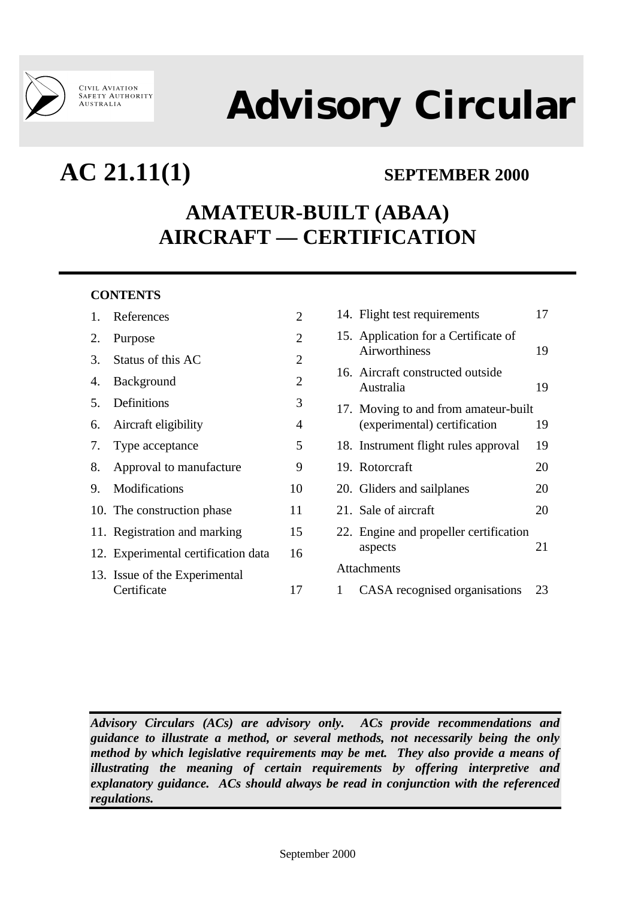

# **Advisory Circular**

## **AC 21.11(1) SEPTEMBER 2000**

### **AMATEUR-BUILT (ABAA) AIRCRAFT — CERTIFICATION**

#### **CONTENTS**

|    | 1. References                       | 2              |
|----|-------------------------------------|----------------|
| 2. | Purpose                             | $\overline{2}$ |
|    | 3. Status of this AC                | $\overline{2}$ |
| 4. | Background                          | $\overline{2}$ |
| 5. | Definitions                         | 3              |
| 6. | Aircraft eligibility                | $\overline{4}$ |
|    | 7. Type acceptance                  | 5              |
|    | 8. Approval to manufacture          | 9              |
|    | 9. Modifications                    | 10             |
|    | 10. The construction phase          | 11             |
|    | 11. Registration and marking        | 15             |
|    | 12. Experimental certification data | 16             |
|    | 13. Issue of the Experimental       |                |
|    | Certificate                         | 17             |

| 14. Flight test requirements                                         | 17 |  |  |
|----------------------------------------------------------------------|----|--|--|
| 15. Application for a Certificate of<br><b>Airworthiness</b>         | 19 |  |  |
| 16. Aircraft constructed outside<br>Australia                        | 19 |  |  |
| 17. Moving to and from amateur-built<br>(experimental) certification | 19 |  |  |
| 18. Instrument flight rules approval                                 | 19 |  |  |
| 19. Rotorcraft                                                       | 20 |  |  |
| 20. Gliders and sailplanes                                           | 20 |  |  |
| 21. Sale of aircraft                                                 | 20 |  |  |
| 22. Engine and propeller certification<br>aspects                    | 21 |  |  |
| <b>Attachments</b>                                                   |    |  |  |
| 1<br>CASA recognised organisations                                   | 23 |  |  |

*Advisory Circulars (ACs) are advisory only. ACs provide recommendations and guidance to illustrate a method, or several methods, not necessarily being the only method by which legislative requirements may be met. They also provide a means of illustrating the meaning of certain requirements by offering interpretive and explanatory guidance. ACs should always be read in conjunction with the referenced regulations.*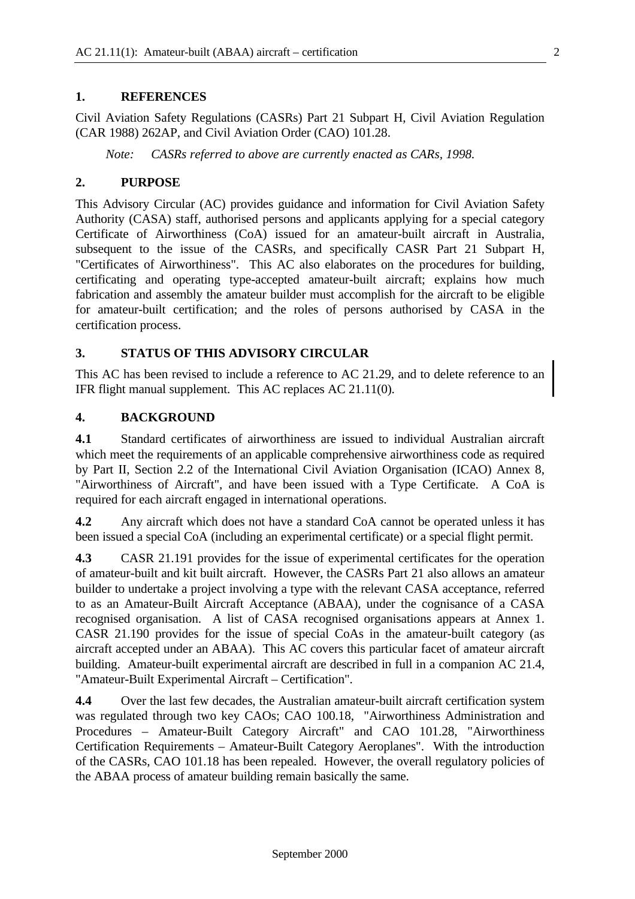#### **1. REFERENCES**

Civil Aviation Safety Regulations (CASRs) Part 21 Subpart H, Civil Aviation Regulation (CAR 1988) 262AP, and Civil Aviation Order (CAO) 101.28.

*Note: CASRs referred to above are currently enacted as CARs, 1998.*

#### **2. PURPOSE**

This Advisory Circular (AC) provides guidance and information for Civil Aviation Safety Authority (CASA) staff, authorised persons and applicants applying for a special category Certificate of Airworthiness (CoA) issued for an amateur-built aircraft in Australia, subsequent to the issue of the CASRs, and specifically CASR Part 21 Subpart H, "Certificates of Airworthiness". This AC also elaborates on the procedures for building, certificating and operating type-accepted amateur-built aircraft; explains how much fabrication and assembly the amateur builder must accomplish for the aircraft to be eligible for amateur-built certification; and the roles of persons authorised by CASA in the certification process.

#### **3. STATUS OF THIS ADVISORY CIRCULAR**

This AC has been revised to include a reference to AC 21.29, and to delete reference to an IFR flight manual supplement. This AC replaces AC 21.11(0).

#### **4. BACKGROUND**

**4.1** Standard certificates of airworthiness are issued to individual Australian aircraft which meet the requirements of an applicable comprehensive airworthiness code as required by Part II, Section 2.2 of the International Civil Aviation Organisation (ICAO) Annex 8, "Airworthiness of Aircraft", and have been issued with a Type Certificate. A CoA is required for each aircraft engaged in international operations.

**4.2** Any aircraft which does not have a standard CoA cannot be operated unless it has been issued a special CoA (including an experimental certificate) or a special flight permit.

**4.3** CASR 21.191 provides for the issue of experimental certificates for the operation of amateur-built and kit built aircraft. However, the CASRs Part 21 also allows an amateur builder to undertake a project involving a type with the relevant CASA acceptance, referred to as an Amateur-Built Aircraft Acceptance (ABAA), under the cognisance of a CASA recognised organisation. A list of CASA recognised organisations appears at Annex 1. CASR 21.190 provides for the issue of special CoAs in the amateur-built category (as aircraft accepted under an ABAA). This AC covers this particular facet of amateur aircraft building. Amateur-built experimental aircraft are described in full in a companion AC 21.4, "Amateur-Built Experimental Aircraft – Certification".

**4.4** Over the last few decades, the Australian amateur-built aircraft certification system was regulated through two key CAOs; CAO 100.18, "Airworthiness Administration and Procedures – Amateur-Built Category Aircraft" and CAO 101.28, "Airworthiness Certification Requirements – Amateur-Built Category Aeroplanes". With the introduction of the CASRs, CAO 101.18 has been repealed. However, the overall regulatory policies of the ABAA process of amateur building remain basically the same.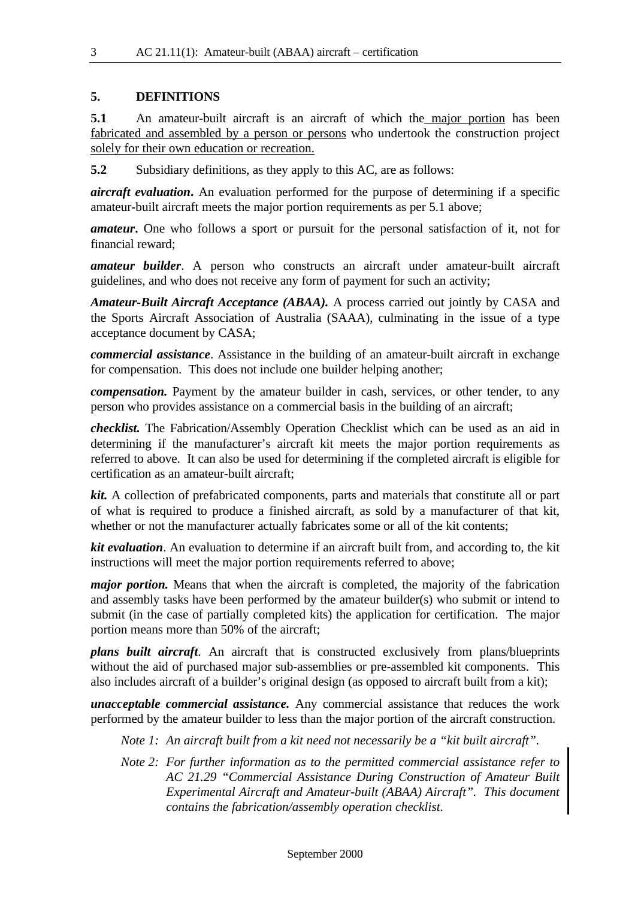#### **5. DEFINITIONS**

**5.1** An amateur-built aircraft is an aircraft of which the major portion has been fabricated and assembled by a person or persons who undertook the construction project solely for their own education or recreation.

**5.2** Subsidiary definitions, as they apply to this AC, are as follows:

*aircraft evaluation***.** An evaluation performed for the purpose of determining if a specific amateur-built aircraft meets the major portion requirements as per 5.1 above;

*amateur***.** One who follows a sport or pursuit for the personal satisfaction of it, not for financial reward;

*amateur builder*. A person who constructs an aircraft under amateur-built aircraft guidelines, and who does not receive any form of payment for such an activity;

*Amateur-Built Aircraft Acceptance (ABAA).* A process carried out jointly by CASA and the Sports Aircraft Association of Australia (SAAA), culminating in the issue of a type acceptance document by CASA;

*commercial assistance*. Assistance in the building of an amateur-built aircraft in exchange for compensation. This does not include one builder helping another;

*compensation.* Payment by the amateur builder in cash, services, or other tender, to any person who provides assistance on a commercial basis in the building of an aircraft;

*checklist.* The Fabrication/Assembly Operation Checklist which can be used as an aid in determining if the manufacturer's aircraft kit meets the major portion requirements as referred to above. It can also be used for determining if the completed aircraft is eligible for certification as an amateur-built aircraft;

*kit.* A collection of prefabricated components, parts and materials that constitute all or part of what is required to produce a finished aircraft, as sold by a manufacturer of that kit, whether or not the manufacturer actually fabricates some or all of the kit contents;

*kit evaluation*. An evaluation to determine if an aircraft built from, and according to, the kit instructions will meet the major portion requirements referred to above;

*major portion.* Means that when the aircraft is completed, the majority of the fabrication and assembly tasks have been performed by the amateur builder(s) who submit or intend to submit (in the case of partially completed kits) the application for certification. The major portion means more than 50% of the aircraft;

*plans built aircraft*. An aircraft that is constructed exclusively from plans/blueprints without the aid of purchased major sub-assemblies or pre-assembled kit components. This also includes aircraft of a builder's original design (as opposed to aircraft built from a kit);

*unacceptable commercial assistance.* Any commercial assistance that reduces the work performed by the amateur builder to less than the major portion of the aircraft construction.

*Note 1: An aircraft built from a kit need not necessarily be a "kit built aircraft".*

*Note 2: For further information as to the permitted commercial assistance refer to AC 21.29 "Commercial Assistance During Construction of Amateur Built Experimental Aircraft and Amateur-built (ABAA) Aircraft". This document contains the fabrication/assembly operation checklist.*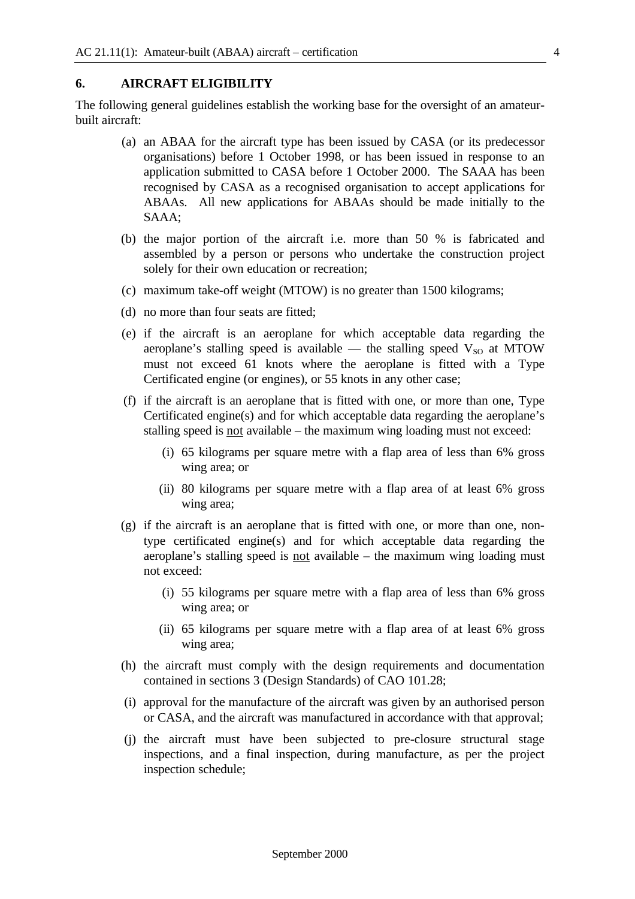#### **6. AIRCRAFT ELIGIBILITY**

The following general guidelines establish the working base for the oversight of an amateurbuilt aircraft:

- (a) an ABAA for the aircraft type has been issued by CASA (or its predecessor organisations) before 1 October 1998, or has been issued in response to an application submitted to CASA before 1 October 2000. The SAAA has been recognised by CASA as a recognised organisation to accept applications for ABAAs. All new applications for ABAAs should be made initially to the SAAA;
- (b) the major portion of the aircraft i.e. more than 50 % is fabricated and assembled by a person or persons who undertake the construction project solely for their own education or recreation;
- (c) maximum take-off weight (MTOW) is no greater than 1500 kilograms;
- (d) no more than four seats are fitted;
- (e) if the aircraft is an aeroplane for which acceptable data regarding the aeroplane's stalling speed is available — the stalling speed  $V_{SO}$  at MTOW must not exceed 61 knots where the aeroplane is fitted with a Type Certificated engine (or engines), or 55 knots in any other case;
- (f) if the aircraft is an aeroplane that is fitted with one, or more than one, Type Certificated engine(s) and for which acceptable data regarding the aeroplane's stalling speed is <u>not</u> available – the maximum wing loading must not exceed:
	- (i) 65 kilograms per square metre with a flap area of less than 6% gross wing area; or
	- (ii) 80 kilograms per square metre with a flap area of at least 6% gross wing area;
- (g) if the aircraft is an aeroplane that is fitted with one, or more than one, nontype certificated engine(s) and for which acceptable data regarding the aeroplane's stalling speed is not available – the maximum wing loading must not exceed:
	- (i) 55 kilograms per square metre with a flap area of less than 6% gross wing area; or
	- (ii) 65 kilograms per square metre with a flap area of at least 6% gross wing area;
- (h) the aircraft must comply with the design requirements and documentation contained in sections 3 (Design Standards) of CAO 101.28;
- (i) approval for the manufacture of the aircraft was given by an authorised person or CASA, and the aircraft was manufactured in accordance with that approval;
- (j) the aircraft must have been subjected to pre-closure structural stage inspections, and a final inspection, during manufacture, as per the project inspection schedule;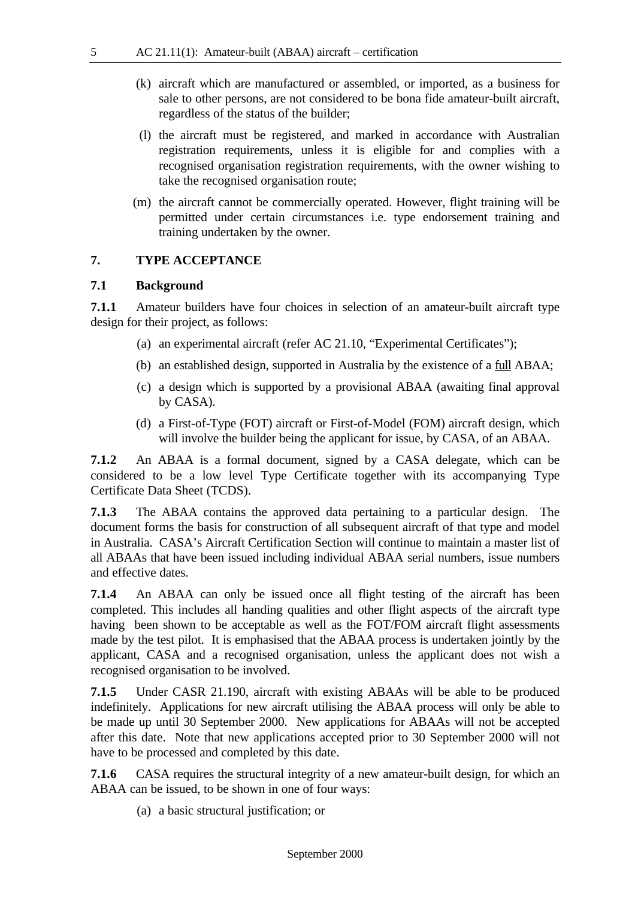- (k) aircraft which are manufactured or assembled, or imported, as a business for sale to other persons, are not considered to be bona fide amateur-built aircraft, regardless of the status of the builder;
- (l) the aircraft must be registered, and marked in accordance with Australian registration requirements, unless it is eligible for and complies with a recognised organisation registration requirements, with the owner wishing to take the recognised organisation route;
- (m) the aircraft cannot be commercially operated. However, flight training will be permitted under certain circumstances i.e. type endorsement training and training undertaken by the owner.

#### **7. TYPE ACCEPTANCE**

#### **7.1 Background**

**7.1.1** Amateur builders have four choices in selection of an amateur-built aircraft type design for their project, as follows:

- (a) an experimental aircraft (refer AC 21.10, "Experimental Certificates");
- (b) an established design, supported in Australia by the existence of a full ABAA;
- (c) a design which is supported by a provisional ABAA (awaiting final approval by CASA).
- (d) a First-of-Type (FOT) aircraft or First-of-Model (FOM) aircraft design, which will involve the builder being the applicant for issue, by CASA, of an ABAA.

**7.1.2** An ABAA is a formal document, signed by a CASA delegate, which can be considered to be a low level Type Certificate together with its accompanying Type Certificate Data Sheet (TCDS).

**7.1.3** The ABAA contains the approved data pertaining to a particular design. The document forms the basis for construction of all subsequent aircraft of that type and model in Australia. CASA's Aircraft Certification Section will continue to maintain a master list of all ABAAs that have been issued including individual ABAA serial numbers, issue numbers and effective dates.

**7.1.4** An ABAA can only be issued once all flight testing of the aircraft has been completed. This includes all handing qualities and other flight aspects of the aircraft type having been shown to be acceptable as well as the FOT/FOM aircraft flight assessments made by the test pilot. It is emphasised that the ABAA process is undertaken jointly by the applicant, CASA and a recognised organisation, unless the applicant does not wish a recognised organisation to be involved.

**7.1.5** Under CASR 21.190, aircraft with existing ABAAs will be able to be produced indefinitely. Applications for new aircraft utilising the ABAA process will only be able to be made up until 30 September 2000. New applications for ABAAs will not be accepted after this date. Note that new applications accepted prior to 30 September 2000 will not have to be processed and completed by this date.

**7.1.6** CASA requires the structural integrity of a new amateur-built design, for which an ABAA can be issued, to be shown in one of four ways:

(a) a basic structural justification; or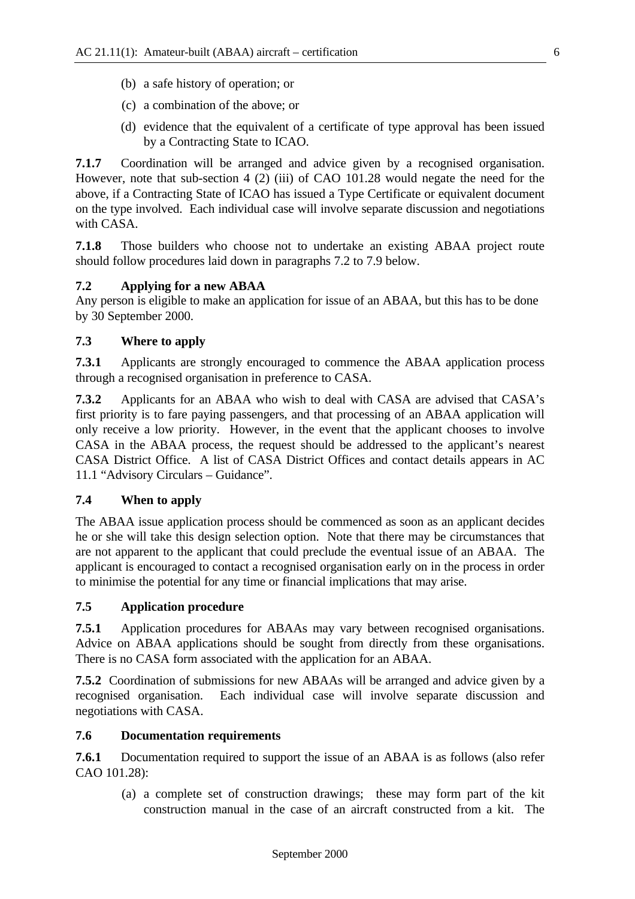- (b) a safe history of operation; or
- (c) a combination of the above; or
- (d) evidence that the equivalent of a certificate of type approval has been issued by a Contracting State to ICAO.

**7.1.7** Coordination will be arranged and advice given by a recognised organisation. However, note that sub-section 4 (2) (iii) of CAO 101.28 would negate the need for the above, if a Contracting State of ICAO has issued a Type Certificate or equivalent document on the type involved. Each individual case will involve separate discussion and negotiations with CASA.

**7.1.8** Those builders who choose not to undertake an existing ABAA project route should follow procedures laid down in paragraphs 7.2 to 7.9 below.

#### **7.2 Applying for a new ABAA**

Any person is eligible to make an application for issue of an ABAA, but this has to be done by 30 September 2000.

#### **7.3 Where to apply**

**7.3.1** Applicants are strongly encouraged to commence the ABAA application process through a recognised organisation in preference to CASA.

**7.3.2** Applicants for an ABAA who wish to deal with CASA are advised that CASA's first priority is to fare paying passengers, and that processing of an ABAA application will only receive a low priority. However, in the event that the applicant chooses to involve CASA in the ABAA process, the request should be addressed to the applicant's nearest CASA District Office. A list of CASA District Offices and contact details appears in AC 11.1 "Advisory Circulars – Guidance".

#### **7.4 When to apply**

The ABAA issue application process should be commenced as soon as an applicant decides he or she will take this design selection option. Note that there may be circumstances that are not apparent to the applicant that could preclude the eventual issue of an ABAA. The applicant is encouraged to contact a recognised organisation early on in the process in order to minimise the potential for any time or financial implications that may arise.

#### **7.5 Application procedure**

**7.5.1** Application procedures for ABAAs may vary between recognised organisations. Advice on ABAA applications should be sought from directly from these organisations. There is no CASA form associated with the application for an ABAA.

**7.5.2** Coordination of submissions for new ABAAs will be arranged and advice given by a recognised organisation. Each individual case will involve separate discussion and negotiations with CASA.

#### **7.6 Documentation requirements**

**7.6.1** Documentation required to support the issue of an ABAA is as follows (also refer CAO 101.28):

(a) a complete set of construction drawings; these may form part of the kit construction manual in the case of an aircraft constructed from a kit. The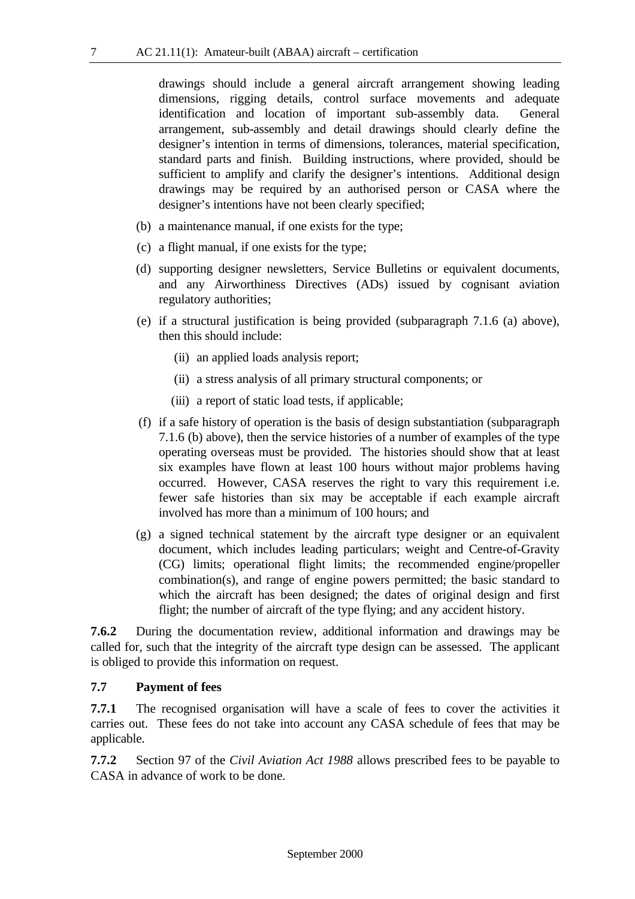drawings should include a general aircraft arrangement showing leading dimensions, rigging details, control surface movements and adequate identification and location of important sub-assembly data. General arrangement, sub-assembly and detail drawings should clearly define the designer's intention in terms of dimensions, tolerances, material specification, standard parts and finish. Building instructions, where provided, should be sufficient to amplify and clarify the designer's intentions. Additional design drawings may be required by an authorised person or CASA where the designer's intentions have not been clearly specified;

- (b) a maintenance manual, if one exists for the type;
- (c) a flight manual, if one exists for the type;
- (d) supporting designer newsletters, Service Bulletins or equivalent documents, and any Airworthiness Directives (ADs) issued by cognisant aviation regulatory authorities;
- (e) if a structural justification is being provided (subparagraph 7.1.6 (a) above), then this should include:
	- (ii) an applied loads analysis report;
	- (ii) a stress analysis of all primary structural components; or
	- (iii) a report of static load tests, if applicable;
- (f) if a safe history of operation is the basis of design substantiation (subparagraph 7.1.6 (b) above), then the service histories of a number of examples of the type operating overseas must be provided. The histories should show that at least six examples have flown at least 100 hours without major problems having occurred. However, CASA reserves the right to vary this requirement i.e. fewer safe histories than six may be acceptable if each example aircraft involved has more than a minimum of 100 hours; and
- (g) a signed technical statement by the aircraft type designer or an equivalent document, which includes leading particulars; weight and Centre-of-Gravity (CG) limits; operational flight limits; the recommended engine/propeller combination(s), and range of engine powers permitted; the basic standard to which the aircraft has been designed; the dates of original design and first flight; the number of aircraft of the type flying; and any accident history.

**7.6.2** During the documentation review, additional information and drawings may be called for, such that the integrity of the aircraft type design can be assessed. The applicant is obliged to provide this information on request.

#### **7.7 Payment of fees**

**7.7.1** The recognised organisation will have a scale of fees to cover the activities it carries out. These fees do not take into account any CASA schedule of fees that may be applicable.

**7.7.2** Section 97 of the *Civil Aviation Act 1988* allows prescribed fees to be payable to CASA in advance of work to be done.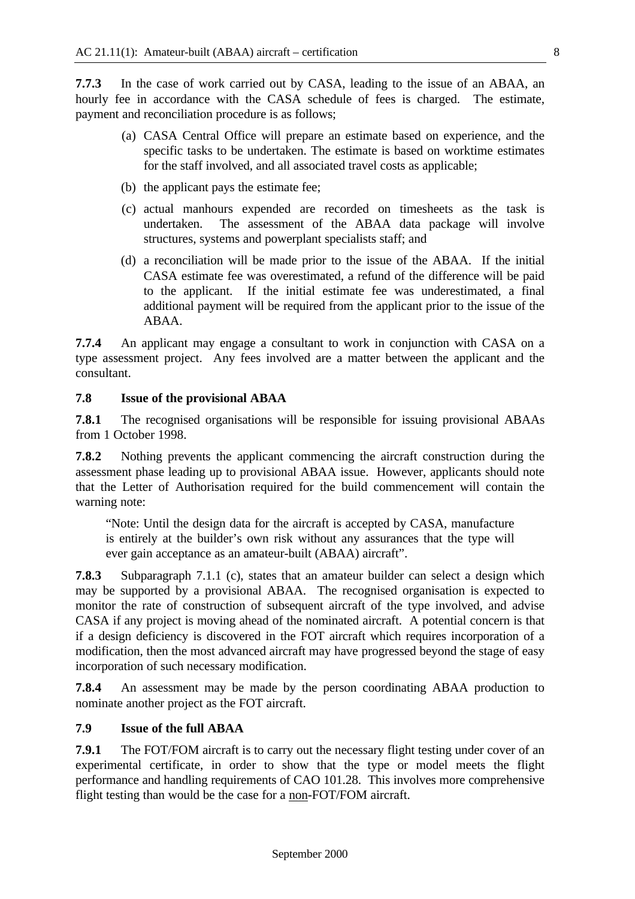**7.7.3** In the case of work carried out by CASA, leading to the issue of an ABAA, an hourly fee in accordance with the CASA schedule of fees is charged. The estimate, payment and reconciliation procedure is as follows;

- (a) CASA Central Office will prepare an estimate based on experience, and the specific tasks to be undertaken. The estimate is based on worktime estimates for the staff involved, and all associated travel costs as applicable;
- (b) the applicant pays the estimate fee;
- (c) actual manhours expended are recorded on timesheets as the task is undertaken. The assessment of the ABAA data package will involve structures, systems and powerplant specialists staff; and
- (d) a reconciliation will be made prior to the issue of the ABAA. If the initial CASA estimate fee was overestimated, a refund of the difference will be paid to the applicant. If the initial estimate fee was underestimated, a final additional payment will be required from the applicant prior to the issue of the ABAA.

**7.7.4** An applicant may engage a consultant to work in conjunction with CASA on a type assessment project. Any fees involved are a matter between the applicant and the consultant.

#### **7.8 Issue of the provisional ABAA**

**7.8.1** The recognised organisations will be responsible for issuing provisional ABAAs from 1 October 1998.

**7.8.2** Nothing prevents the applicant commencing the aircraft construction during the assessment phase leading up to provisional ABAA issue. However, applicants should note that the Letter of Authorisation required for the build commencement will contain the warning note:

"Note: Until the design data for the aircraft is accepted by CASA, manufacture is entirely at the builder's own risk without any assurances that the type will ever gain acceptance as an amateur-built (ABAA) aircraft".

**7.8.3** Subparagraph 7.1.1 (c), states that an amateur builder can select a design which may be supported by a provisional ABAA. The recognised organisation is expected to monitor the rate of construction of subsequent aircraft of the type involved, and advise CASA if any project is moving ahead of the nominated aircraft. A potential concern is that if a design deficiency is discovered in the FOT aircraft which requires incorporation of a modification, then the most advanced aircraft may have progressed beyond the stage of easy incorporation of such necessary modification.

**7.8.4** An assessment may be made by the person coordinating ABAA production to nominate another project as the FOT aircraft.

#### **7.9 Issue of the full ABAA**

**7.9.1** The FOT/FOM aircraft is to carry out the necessary flight testing under cover of an experimental certificate, in order to show that the type or model meets the flight performance and handling requirements of CAO 101.28. This involves more comprehensive flight testing than would be the case for a non-FOT/FOM aircraft.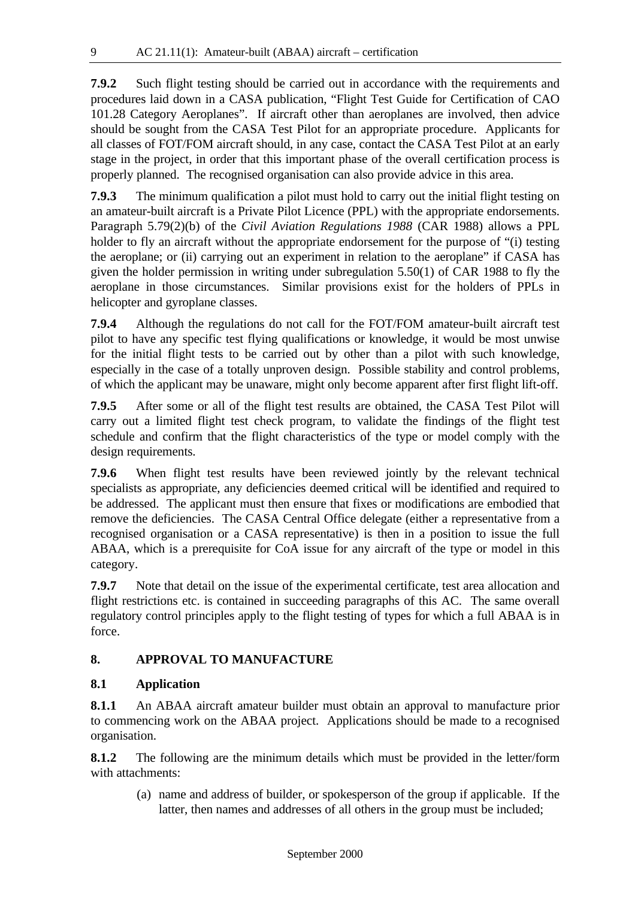**7.9.2** Such flight testing should be carried out in accordance with the requirements and procedures laid down in a CASA publication, "Flight Test Guide for Certification of CAO 101.28 Category Aeroplanes". If aircraft other than aeroplanes are involved, then advice should be sought from the CASA Test Pilot for an appropriate procedure. Applicants for all classes of FOT/FOM aircraft should, in any case, contact the CASA Test Pilot at an early stage in the project, in order that this important phase of the overall certification process is properly planned. The recognised organisation can also provide advice in this area.

**7.9.3** The minimum qualification a pilot must hold to carry out the initial flight testing on an amateur-built aircraft is a Private Pilot Licence (PPL) with the appropriate endorsements. Paragraph 5.79(2)(b) of the *Civil Aviation Regulations 1988* (CAR 1988) allows a PPL holder to fly an aircraft without the appropriate endorsement for the purpose of "(i) testing the aeroplane; or (ii) carrying out an experiment in relation to the aeroplane" if CASA has given the holder permission in writing under subregulation 5.50(1) of CAR 1988 to fly the aeroplane in those circumstances. Similar provisions exist for the holders of PPLs in helicopter and gyroplane classes.

**7.9.4** Although the regulations do not call for the FOT/FOM amateur-built aircraft test pilot to have any specific test flying qualifications or knowledge, it would be most unwise for the initial flight tests to be carried out by other than a pilot with such knowledge, especially in the case of a totally unproven design. Possible stability and control problems, of which the applicant may be unaware, might only become apparent after first flight lift-off.

**7.9.5** After some or all of the flight test results are obtained, the CASA Test Pilot will carry out a limited flight test check program, to validate the findings of the flight test schedule and confirm that the flight characteristics of the type or model comply with the design requirements.

**7.9.6** When flight test results have been reviewed jointly by the relevant technical specialists as appropriate, any deficiencies deemed critical will be identified and required to be addressed. The applicant must then ensure that fixes or modifications are embodied that remove the deficiencies. The CASA Central Office delegate (either a representative from a recognised organisation or a CASA representative) is then in a position to issue the full ABAA, which is a prerequisite for CoA issue for any aircraft of the type or model in this category.

**7.9.7** Note that detail on the issue of the experimental certificate, test area allocation and flight restrictions etc. is contained in succeeding paragraphs of this AC. The same overall regulatory control principles apply to the flight testing of types for which a full ABAA is in force.

#### **8. APPROVAL TO MANUFACTURE**

#### **8.1 Application**

**8.1.1** An ABAA aircraft amateur builder must obtain an approval to manufacture prior to commencing work on the ABAA project. Applications should be made to a recognised organisation.

**8.1.2** The following are the minimum details which must be provided in the letter/form with attachments:

(a) name and address of builder, or spokesperson of the group if applicable. If the latter, then names and addresses of all others in the group must be included;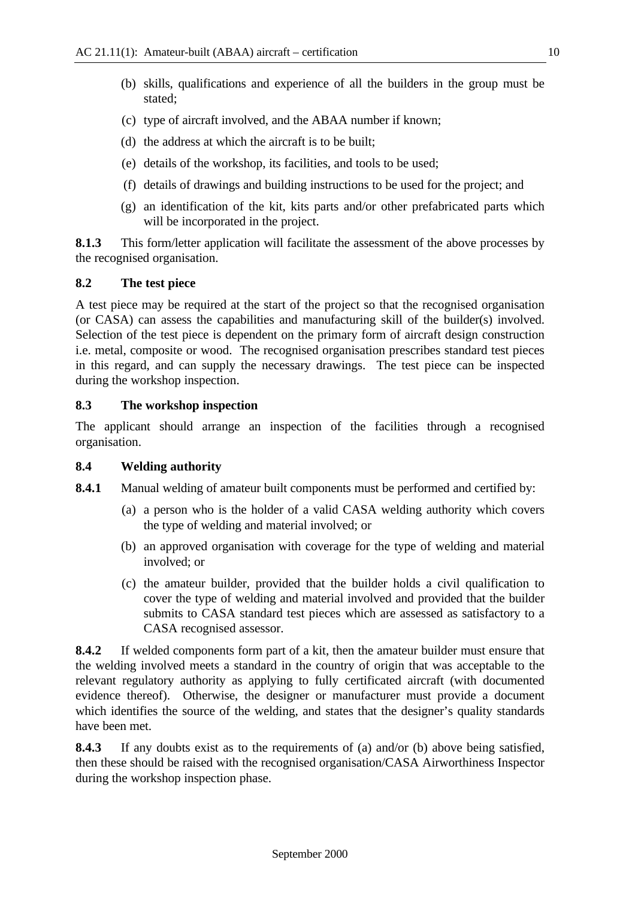- (b) skills, qualifications and experience of all the builders in the group must be stated;
- (c) type of aircraft involved, and the ABAA number if known;
- (d) the address at which the aircraft is to be built;
- (e) details of the workshop, its facilities, and tools to be used;
- (f) details of drawings and building instructions to be used for the project; and
- (g) an identification of the kit, kits parts and/or other prefabricated parts which will be incorporated in the project.

**8.1.3** This form/letter application will facilitate the assessment of the above processes by the recognised organisation.

#### **8.2 The test piece**

A test piece may be required at the start of the project so that the recognised organisation (or CASA) can assess the capabilities and manufacturing skill of the builder(s) involved. Selection of the test piece is dependent on the primary form of aircraft design construction i.e. metal, composite or wood. The recognised organisation prescribes standard test pieces in this regard, and can supply the necessary drawings. The test piece can be inspected during the workshop inspection.

#### **8.3 The workshop inspection**

The applicant should arrange an inspection of the facilities through a recognised organisation.

#### **8.4 Welding authority**

**8.4.1** Manual welding of amateur built components must be performed and certified by:

- (a) a person who is the holder of a valid CASA welding authority which covers the type of welding and material involved; or
- (b) an approved organisation with coverage for the type of welding and material involved; or
- (c) the amateur builder, provided that the builder holds a civil qualification to cover the type of welding and material involved and provided that the builder submits to CASA standard test pieces which are assessed as satisfactory to a CASA recognised assessor.

**8.4.2** If welded components form part of a kit, then the amateur builder must ensure that the welding involved meets a standard in the country of origin that was acceptable to the relevant regulatory authority as applying to fully certificated aircraft (with documented evidence thereof). Otherwise, the designer or manufacturer must provide a document which identifies the source of the welding, and states that the designer's quality standards have been met.

**8.4.3** If any doubts exist as to the requirements of (a) and/or (b) above being satisfied, then these should be raised with the recognised organisation/CASA Airworthiness Inspector during the workshop inspection phase.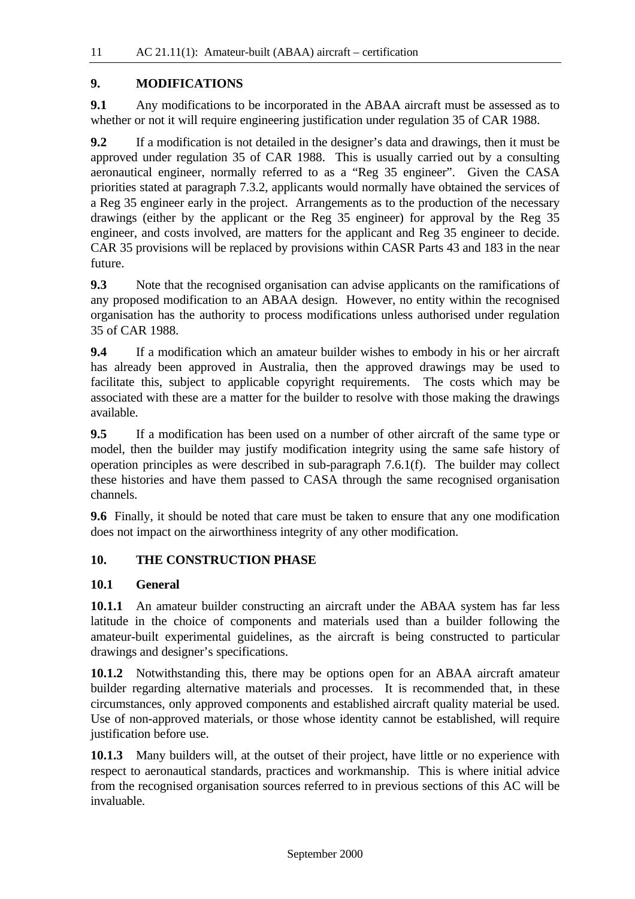#### **9. MODIFICATIONS**

**9.1** Any modifications to be incorporated in the ABAA aircraft must be assessed as to whether or not it will require engineering justification under regulation 35 of CAR 1988.

**9.2** If a modification is not detailed in the designer's data and drawings, then it must be approved under regulation 35 of CAR 1988. This is usually carried out by a consulting aeronautical engineer, normally referred to as a "Reg 35 engineer". Given the CASA priorities stated at paragraph 7.3.2, applicants would normally have obtained the services of a Reg 35 engineer early in the project. Arrangements as to the production of the necessary drawings (either by the applicant or the Reg 35 engineer) for approval by the Reg 35 engineer, and costs involved, are matters for the applicant and Reg 35 engineer to decide. CAR 35 provisions will be replaced by provisions within CASR Parts 43 and 183 in the near future.

**9.3** Note that the recognised organisation can advise applicants on the ramifications of any proposed modification to an ABAA design. However, no entity within the recognised organisation has the authority to process modifications unless authorised under regulation 35 of CAR 1988.

**9.4** If a modification which an amateur builder wishes to embody in his or her aircraft has already been approved in Australia, then the approved drawings may be used to facilitate this, subject to applicable copyright requirements. The costs which may be associated with these are a matter for the builder to resolve with those making the drawings available.

**9.5** If a modification has been used on a number of other aircraft of the same type or model, then the builder may justify modification integrity using the same safe history of operation principles as were described in sub-paragraph 7.6.1(f). The builder may collect these histories and have them passed to CASA through the same recognised organisation channels.

**9.6** Finally, it should be noted that care must be taken to ensure that any one modification does not impact on the airworthiness integrity of any other modification.

#### **10. THE CONSTRUCTION PHASE**

#### **10.1 General**

**10.1.1** An amateur builder constructing an aircraft under the ABAA system has far less latitude in the choice of components and materials used than a builder following the amateur-built experimental guidelines, as the aircraft is being constructed to particular drawings and designer's specifications.

**10.1.2** Notwithstanding this, there may be options open for an ABAA aircraft amateur builder regarding alternative materials and processes. It is recommended that, in these circumstances, only approved components and established aircraft quality material be used. Use of non-approved materials, or those whose identity cannot be established, will require justification before use.

**10.1.3** Many builders will, at the outset of their project, have little or no experience with respect to aeronautical standards, practices and workmanship. This is where initial advice from the recognised organisation sources referred to in previous sections of this AC will be invaluable.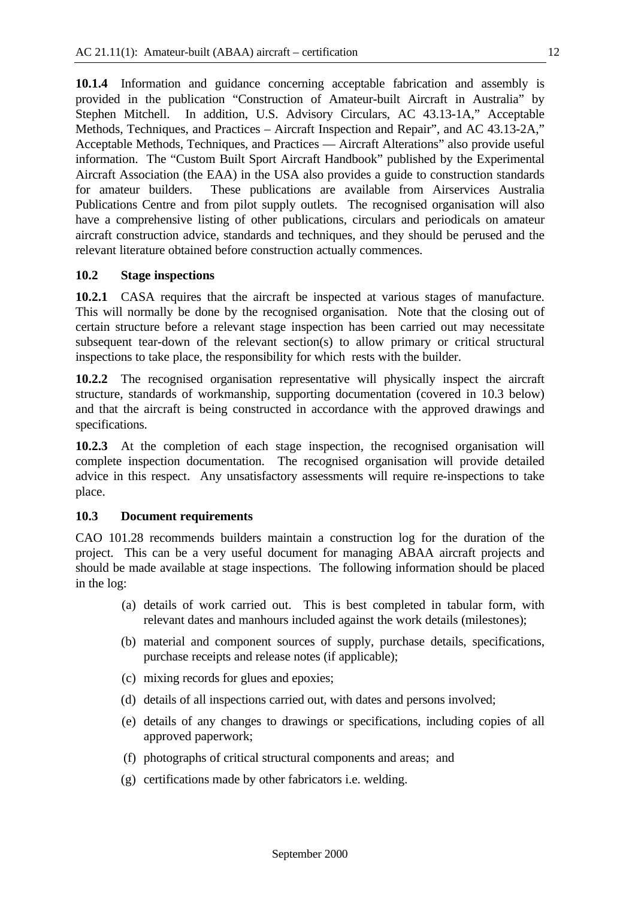**10.1.4** Information and guidance concerning acceptable fabrication and assembly is provided in the publication "Construction of Amateur-built Aircraft in Australia" by Stephen Mitchell. In addition, U.S. Advisory Circulars, AC 43.13-1A," Acceptable Methods, Techniques, and Practices – Aircraft Inspection and Repair", and AC 43.13-2A," Acceptable Methods, Techniques, and Practices — Aircraft Alterations" also provide useful information. The "Custom Built Sport Aircraft Handbook" published by the Experimental Aircraft Association (the EAA) in the USA also provides a guide to construction standards for amateur builders. These publications are available from Airservices Australia Publications Centre and from pilot supply outlets. The recognised organisation will also have a comprehensive listing of other publications, circulars and periodicals on amateur aircraft construction advice, standards and techniques, and they should be perused and the relevant literature obtained before construction actually commences.

#### **10.2 Stage inspections**

**10.2.1** CASA requires that the aircraft be inspected at various stages of manufacture. This will normally be done by the recognised organisation. Note that the closing out of certain structure before a relevant stage inspection has been carried out may necessitate subsequent tear-down of the relevant section(s) to allow primary or critical structural inspections to take place, the responsibility for which rests with the builder.

**10.2.2** The recognised organisation representative will physically inspect the aircraft structure, standards of workmanship, supporting documentation (covered in 10.3 below) and that the aircraft is being constructed in accordance with the approved drawings and specifications.

**10.2.3** At the completion of each stage inspection, the recognised organisation will complete inspection documentation. The recognised organisation will provide detailed advice in this respect. Any unsatisfactory assessments will require re-inspections to take place.

#### **10.3 Document requirements**

CAO 101.28 recommends builders maintain a construction log for the duration of the project. This can be a very useful document for managing ABAA aircraft projects and should be made available at stage inspections. The following information should be placed in the log:

- (a) details of work carried out. This is best completed in tabular form, with relevant dates and manhours included against the work details (milestones);
- (b) material and component sources of supply, purchase details, specifications, purchase receipts and release notes (if applicable);
- (c) mixing records for glues and epoxies;
- (d) details of all inspections carried out, with dates and persons involved;
- (e) details of any changes to drawings or specifications, including copies of all approved paperwork;
- (f) photographs of critical structural components and areas; and
- (g) certifications made by other fabricators i.e. welding.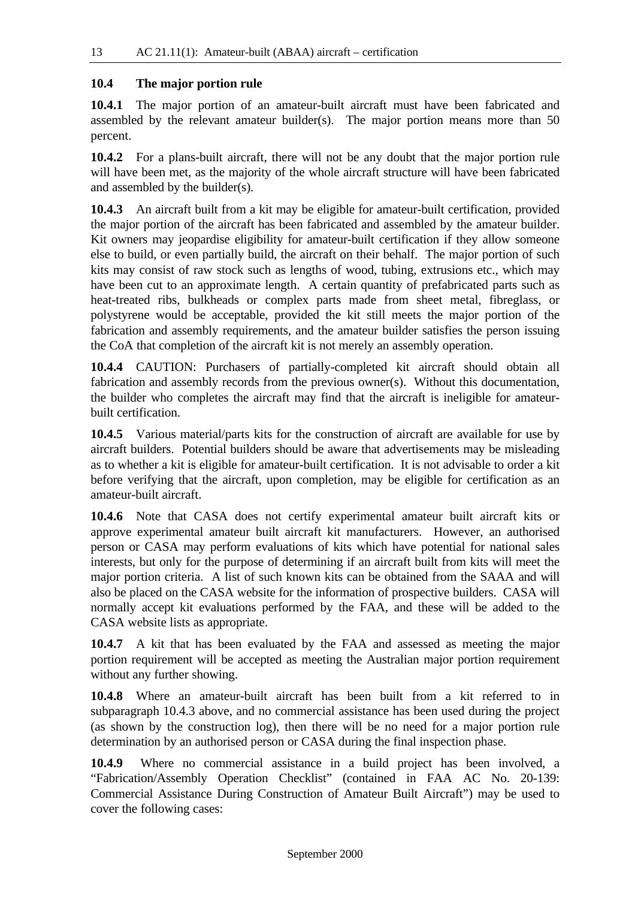#### **10.4 The major portion rule**

**10.4.1** The major portion of an amateur-built aircraft must have been fabricated and assembled by the relevant amateur builder(s). The major portion means more than 50 percent.

**10.4.2** For a plans-built aircraft, there will not be any doubt that the major portion rule will have been met, as the majority of the whole aircraft structure will have been fabricated and assembled by the builder(s).

**10.4.3** An aircraft built from a kit may be eligible for amateur-built certification, provided the major portion of the aircraft has been fabricated and assembled by the amateur builder. Kit owners may jeopardise eligibility for amateur-built certification if they allow someone else to build, or even partially build, the aircraft on their behalf. The major portion of such kits may consist of raw stock such as lengths of wood, tubing, extrusions etc., which may have been cut to an approximate length. A certain quantity of prefabricated parts such as heat-treated ribs, bulkheads or complex parts made from sheet metal, fibreglass, or polystyrene would be acceptable, provided the kit still meets the major portion of the fabrication and assembly requirements, and the amateur builder satisfies the person issuing the CoA that completion of the aircraft kit is not merely an assembly operation.

**10.4.4** CAUTION: Purchasers of partially-completed kit aircraft should obtain all fabrication and assembly records from the previous owner(s). Without this documentation, the builder who completes the aircraft may find that the aircraft is ineligible for amateurbuilt certification.

**10.4.5** Various material/parts kits for the construction of aircraft are available for use by aircraft builders. Potential builders should be aware that advertisements may be misleading as to whether a kit is eligible for amateur-built certification. It is not advisable to order a kit before verifying that the aircraft, upon completion, may be eligible for certification as an amateur-built aircraft.

**10.4.6** Note that CASA does not certify experimental amateur built aircraft kits or approve experimental amateur built aircraft kit manufacturers. However, an authorised person or CASA may perform evaluations of kits which have potential for national sales interests, but only for the purpose of determining if an aircraft built from kits will meet the major portion criteria. A list of such known kits can be obtained from the SAAA and will also be placed on the CASA website for the information of prospective builders. CASA will normally accept kit evaluations performed by the FAA, and these will be added to the CASA website lists as appropriate.

**10.4.7** A kit that has been evaluated by the FAA and assessed as meeting the major portion requirement will be accepted as meeting the Australian major portion requirement without any further showing.

**10.4.8** Where an amateur-built aircraft has been built from a kit referred to in subparagraph 10.4.3 above, and no commercial assistance has been used during the project (as shown by the construction log), then there will be no need for a major portion rule determination by an authorised person or CASA during the final inspection phase.

**10.4.9** Where no commercial assistance in a build project has been involved, a "Fabrication/Assembly Operation Checklist" (contained in FAA AC No. 20-139: Commercial Assistance During Construction of Amateur Built Aircraft") may be used to cover the following cases: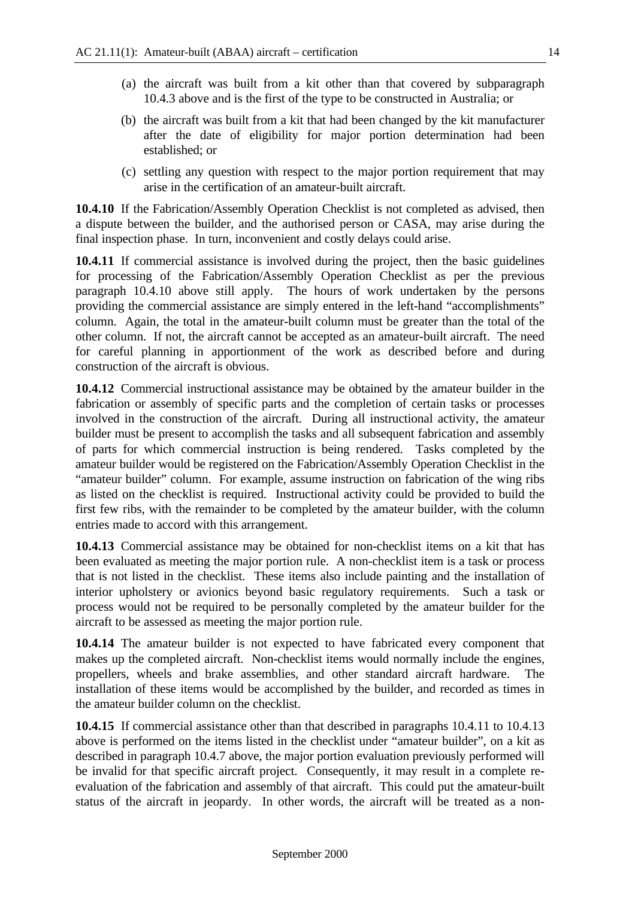- (a) the aircraft was built from a kit other than that covered by subparagraph 10.4.3 above and is the first of the type to be constructed in Australia; or
- (b) the aircraft was built from a kit that had been changed by the kit manufacturer after the date of eligibility for major portion determination had been established; or
- (c) settling any question with respect to the major portion requirement that may arise in the certification of an amateur-built aircraft.

**10.4.10** If the Fabrication/Assembly Operation Checklist is not completed as advised, then a dispute between the builder, and the authorised person or CASA, may arise during the final inspection phase. In turn, inconvenient and costly delays could arise.

**10.4.11** If commercial assistance is involved during the project, then the basic guidelines for processing of the Fabrication/Assembly Operation Checklist as per the previous paragraph 10.4.10 above still apply. The hours of work undertaken by the persons providing the commercial assistance are simply entered in the left-hand "accomplishments" column. Again, the total in the amateur-built column must be greater than the total of the other column. If not, the aircraft cannot be accepted as an amateur-built aircraft. The need for careful planning in apportionment of the work as described before and during construction of the aircraft is obvious.

**10.4.12** Commercial instructional assistance may be obtained by the amateur builder in the fabrication or assembly of specific parts and the completion of certain tasks or processes involved in the construction of the aircraft. During all instructional activity, the amateur builder must be present to accomplish the tasks and all subsequent fabrication and assembly of parts for which commercial instruction is being rendered. Tasks completed by the amateur builder would be registered on the Fabrication/Assembly Operation Checklist in the "amateur builder" column. For example, assume instruction on fabrication of the wing ribs as listed on the checklist is required. Instructional activity could be provided to build the first few ribs, with the remainder to be completed by the amateur builder, with the column entries made to accord with this arrangement.

**10.4.13** Commercial assistance may be obtained for non-checklist items on a kit that has been evaluated as meeting the major portion rule. A non-checklist item is a task or process that is not listed in the checklist. These items also include painting and the installation of interior upholstery or avionics beyond basic regulatory requirements. Such a task or process would not be required to be personally completed by the amateur builder for the aircraft to be assessed as meeting the major portion rule.

**10.4.14** The amateur builder is not expected to have fabricated every component that makes up the completed aircraft. Non-checklist items would normally include the engines, propellers, wheels and brake assemblies, and other standard aircraft hardware. The installation of these items would be accomplished by the builder, and recorded as times in the amateur builder column on the checklist.

**10.4.15** If commercial assistance other than that described in paragraphs 10.4.11 to 10.4.13 above is performed on the items listed in the checklist under "amateur builder", on a kit as described in paragraph 10.4.7 above, the major portion evaluation previously performed will be invalid for that specific aircraft project. Consequently, it may result in a complete reevaluation of the fabrication and assembly of that aircraft. This could put the amateur-built status of the aircraft in jeopardy. In other words, the aircraft will be treated as a non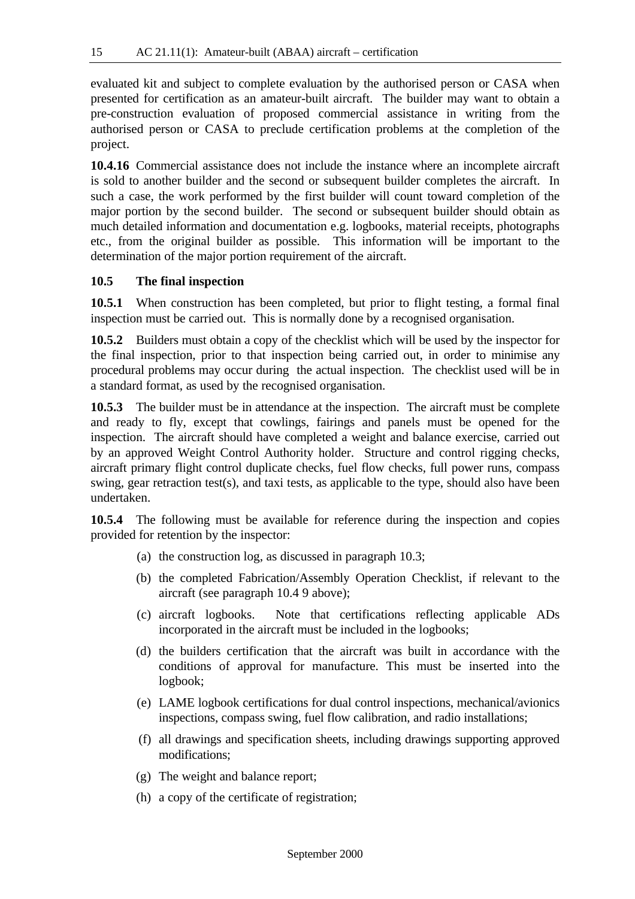evaluated kit and subject to complete evaluation by the authorised person or CASA when presented for certification as an amateur-built aircraft. The builder may want to obtain a pre-construction evaluation of proposed commercial assistance in writing from the authorised person or CASA to preclude certification problems at the completion of the project.

**10.4.16** Commercial assistance does not include the instance where an incomplete aircraft is sold to another builder and the second or subsequent builder completes the aircraft. In such a case, the work performed by the first builder will count toward completion of the major portion by the second builder. The second or subsequent builder should obtain as much detailed information and documentation e.g. logbooks, material receipts, photographs etc., from the original builder as possible. This information will be important to the determination of the major portion requirement of the aircraft.

#### **10.5 The final inspection**

**10.5.1** When construction has been completed, but prior to flight testing, a formal final inspection must be carried out. This is normally done by a recognised organisation.

**10.5.2** Builders must obtain a copy of the checklist which will be used by the inspector for the final inspection, prior to that inspection being carried out, in order to minimise any procedural problems may occur during the actual inspection. The checklist used will be in a standard format, as used by the recognised organisation.

**10.5.3** The builder must be in attendance at the inspection. The aircraft must be complete and ready to fly, except that cowlings, fairings and panels must be opened for the inspection. The aircraft should have completed a weight and balance exercise, carried out by an approved Weight Control Authority holder. Structure and control rigging checks, aircraft primary flight control duplicate checks, fuel flow checks, full power runs, compass swing, gear retraction test(s), and taxi tests, as applicable to the type, should also have been undertaken.

**10.5.4** The following must be available for reference during the inspection and copies provided for retention by the inspector:

- (a) the construction log, as discussed in paragraph 10.3;
- (b) the completed Fabrication/Assembly Operation Checklist, if relevant to the aircraft (see paragraph 10.4 9 above);
- (c) aircraft logbooks. Note that certifications reflecting applicable ADs incorporated in the aircraft must be included in the logbooks;
- (d) the builders certification that the aircraft was built in accordance with the conditions of approval for manufacture. This must be inserted into the logbook;
- (e) LAME logbook certifications for dual control inspections, mechanical/avionics inspections, compass swing, fuel flow calibration, and radio installations;
- (f) all drawings and specification sheets, including drawings supporting approved modifications;
- (g) The weight and balance report;
- (h) a copy of the certificate of registration;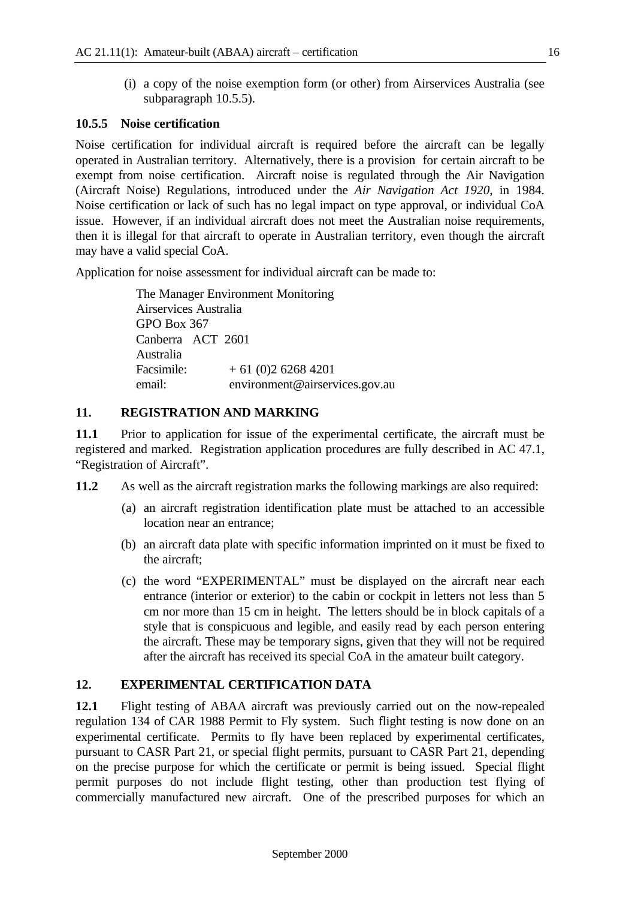(i) a copy of the noise exemption form (or other) from Airservices Australia (see subparagraph 10.5.5).

#### **10.5.5 Noise certification**

Noise certification for individual aircraft is required before the aircraft can be legally operated in Australian territory. Alternatively, there is a provision for certain aircraft to be exempt from noise certification. Aircraft noise is regulated through the Air Navigation (Aircraft Noise) Regulations, introduced under the *Air Navigation Act 1920*, in 1984. Noise certification or lack of such has no legal impact on type approval, or individual CoA issue. However, if an individual aircraft does not meet the Australian noise requirements, then it is illegal for that aircraft to operate in Australian territory, even though the aircraft may have a valid special CoA.

Application for noise assessment for individual aircraft can be made to:

The Manager Environment Monitoring Airservices Australia GPO Box 367 Canberra ACT 2601 Australia Facsimile:  $+ 61 (0)2 6268 4201$ email: environment@airservices.gov.au

#### **11. REGISTRATION AND MARKING**

**11.1** Prior to application for issue of the experimental certificate, the aircraft must be registered and marked. Registration application procedures are fully described in AC 47.1, "Registration of Aircraft".

**11.2** As well as the aircraft registration marks the following markings are also required:

- (a) an aircraft registration identification plate must be attached to an accessible location near an entrance;
- (b) an aircraft data plate with specific information imprinted on it must be fixed to the aircraft;
- (c) the word "EXPERIMENTAL" must be displayed on the aircraft near each entrance (interior or exterior) to the cabin or cockpit in letters not less than 5 cm nor more than 15 cm in height. The letters should be in block capitals of a style that is conspicuous and legible, and easily read by each person entering the aircraft. These may be temporary signs, given that they will not be required after the aircraft has received its special CoA in the amateur built category.

#### **12. EXPERIMENTAL CERTIFICATION DATA**

**12.1** Flight testing of ABAA aircraft was previously carried out on the now-repealed regulation 134 of CAR 1988 Permit to Fly system. Such flight testing is now done on an experimental certificate. Permits to fly have been replaced by experimental certificates, pursuant to CASR Part 21, or special flight permits, pursuant to CASR Part 21, depending on the precise purpose for which the certificate or permit is being issued. Special flight permit purposes do not include flight testing, other than production test flying of commercially manufactured new aircraft. One of the prescribed purposes for which an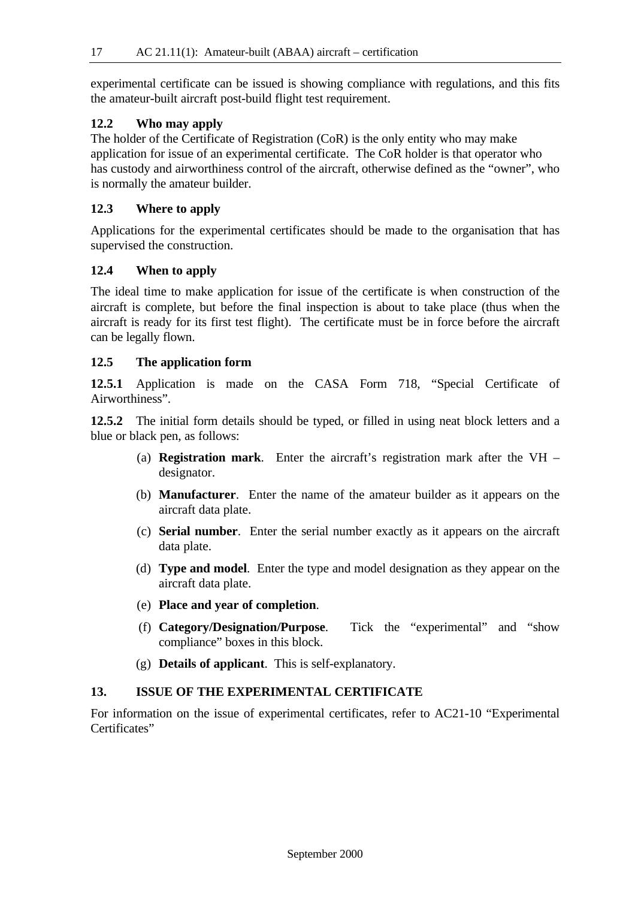experimental certificate can be issued is showing compliance with regulations, and this fits the amateur-built aircraft post-build flight test requirement.

#### **12.2 Who may apply**

The holder of the Certificate of Registration (CoR) is the only entity who may make application for issue of an experimental certificate. The CoR holder is that operator who has custody and airworthiness control of the aircraft, otherwise defined as the "owner", who is normally the amateur builder.

#### **12.3 Where to apply**

Applications for the experimental certificates should be made to the organisation that has supervised the construction.

#### **12.4 When to apply**

The ideal time to make application for issue of the certificate is when construction of the aircraft is complete, but before the final inspection is about to take place (thus when the aircraft is ready for its first test flight). The certificate must be in force before the aircraft can be legally flown.

#### **12.5 The application form**

**12.5.1** Application is made on the CASA Form 718, "Special Certificate of Airworthiness".

**12.5.2** The initial form details should be typed, or filled in using neat block letters and a blue or black pen, as follows:

- (a) **Registration mark**. Enter the aircraft's registration mark after the VH designator.
- (b) **Manufacturer**. Enter the name of the amateur builder as it appears on the aircraft data plate.
- (c) **Serial number**. Enter the serial number exactly as it appears on the aircraft data plate.
- (d) **Type and model**. Enter the type and model designation as they appear on the aircraft data plate.
- (e) **Place and year of completion**.
- (f) **Category/Designation/Purpose**. Tick the "experimental" and "show compliance" boxes in this block.
- (g) **Details of applicant**. This is self-explanatory.

#### **13. ISSUE OF THE EXPERIMENTAL CERTIFICATE**

For information on the issue of experimental certificates, refer to AC21-10 "Experimental Certificates"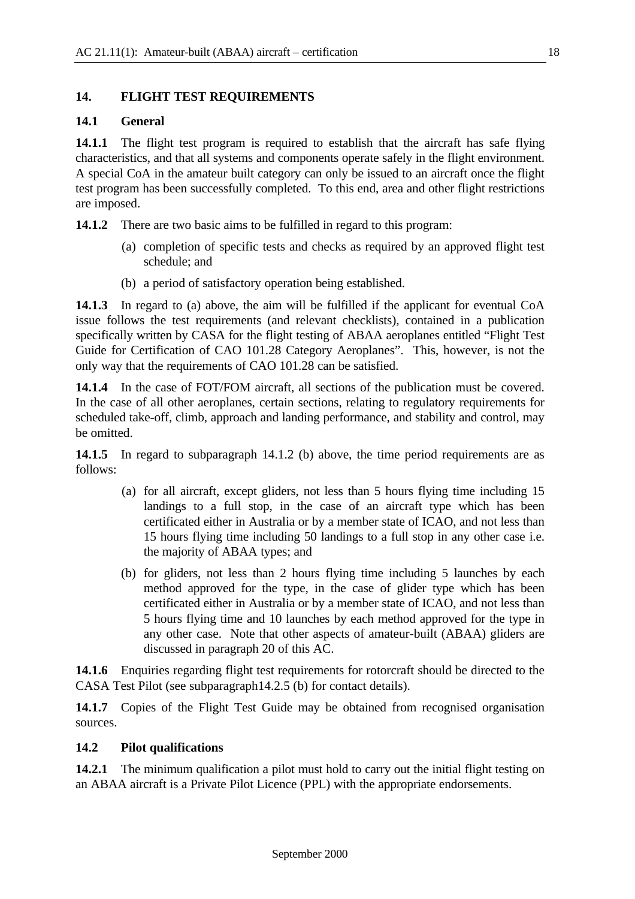#### **14. FLIGHT TEST REQUIREMENTS**

#### **14.1 General**

**14.1.1** The flight test program is required to establish that the aircraft has safe flying characteristics, and that all systems and components operate safely in the flight environment. A special CoA in the amateur built category can only be issued to an aircraft once the flight test program has been successfully completed. To this end, area and other flight restrictions are imposed.

**14.1.2** There are two basic aims to be fulfilled in regard to this program:

- (a) completion of specific tests and checks as required by an approved flight test schedule; and
- (b) a period of satisfactory operation being established.

**14.1.3** In regard to (a) above, the aim will be fulfilled if the applicant for eventual CoA issue follows the test requirements (and relevant checklists), contained in a publication specifically written by CASA for the flight testing of ABAA aeroplanes entitled "Flight Test Guide for Certification of CAO 101.28 Category Aeroplanes". This, however, is not the only way that the requirements of CAO 101.28 can be satisfied.

**14.1.4** In the case of FOT/FOM aircraft, all sections of the publication must be covered. In the case of all other aeroplanes, certain sections, relating to regulatory requirements for scheduled take-off, climb, approach and landing performance, and stability and control, may be omitted.

**14.1.5** In regard to subparagraph 14.1.2 (b) above, the time period requirements are as follows:

- (a) for all aircraft, except gliders, not less than 5 hours flying time including 15 landings to a full stop, in the case of an aircraft type which has been certificated either in Australia or by a member state of ICAO, and not less than 15 hours flying time including 50 landings to a full stop in any other case i.e. the majority of ABAA types; and
- (b) for gliders, not less than 2 hours flying time including 5 launches by each method approved for the type, in the case of glider type which has been certificated either in Australia or by a member state of ICAO, and not less than 5 hours flying time and 10 launches by each method approved for the type in any other case. Note that other aspects of amateur-built (ABAA) gliders are discussed in paragraph 20 of this AC.

**14.1.6** Enquiries regarding flight test requirements for rotorcraft should be directed to the CASA Test Pilot (see subparagraph14.2.5 (b) for contact details).

14.1.7 Copies of the Flight Test Guide may be obtained from recognised organisation sources.

#### **14.2 Pilot qualifications**

**14.2.1** The minimum qualification a pilot must hold to carry out the initial flight testing on an ABAA aircraft is a Private Pilot Licence (PPL) with the appropriate endorsements.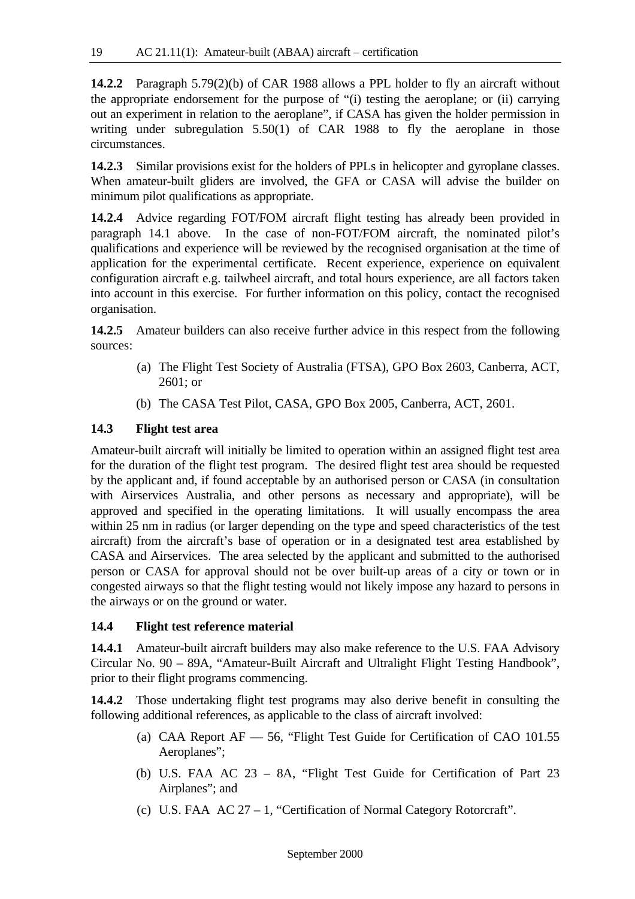**14.2.2** Paragraph 5.79(2)(b) of CAR 1988 allows a PPL holder to fly an aircraft without the appropriate endorsement for the purpose of "(i) testing the aeroplane; or (ii) carrying out an experiment in relation to the aeroplane", if CASA has given the holder permission in writing under subregulation 5.50(1) of CAR 1988 to fly the aeroplane in those circumstances.

14.2.3 Similar provisions exist for the holders of PPLs in helicopter and gyroplane classes. When amateur-built gliders are involved, the GFA or CASA will advise the builder on minimum pilot qualifications as appropriate.

**14.2.4** Advice regarding FOT/FOM aircraft flight testing has already been provided in paragraph 14.1 above. In the case of non-FOT/FOM aircraft, the nominated pilot's qualifications and experience will be reviewed by the recognised organisation at the time of application for the experimental certificate. Recent experience, experience on equivalent configuration aircraft e.g. tailwheel aircraft, and total hours experience, are all factors taken into account in this exercise. For further information on this policy, contact the recognised organisation.

**14.2.5** Amateur builders can also receive further advice in this respect from the following sources:

- (a) The Flight Test Society of Australia (FTSA), GPO Box 2603, Canberra, ACT, 2601; or
- (b) The CASA Test Pilot, CASA, GPO Box 2005, Canberra, ACT, 2601.

#### **14.3 Flight test area**

Amateur-built aircraft will initially be limited to operation within an assigned flight test area for the duration of the flight test program. The desired flight test area should be requested by the applicant and, if found acceptable by an authorised person or CASA (in consultation with Airservices Australia, and other persons as necessary and appropriate), will be approved and specified in the operating limitations. It will usually encompass the area within 25 nm in radius (or larger depending on the type and speed characteristics of the test aircraft) from the aircraft's base of operation or in a designated test area established by CASA and Airservices. The area selected by the applicant and submitted to the authorised person or CASA for approval should not be over built-up areas of a city or town or in congested airways so that the flight testing would not likely impose any hazard to persons in the airways or on the ground or water.

#### **14.4 Flight test reference material**

**14.4.1** Amateur-built aircraft builders may also make reference to the U.S. FAA Advisory Circular No. 90 – 89A, "Amateur-Built Aircraft and Ultralight Flight Testing Handbook", prior to their flight programs commencing.

**14.4.2** Those undertaking flight test programs may also derive benefit in consulting the following additional references, as applicable to the class of aircraft involved:

- (a) CAA Report AF 56, "Flight Test Guide for Certification of CAO 101.55 Aeroplanes";
- (b) U.S. FAA AC 23 8A, "Flight Test Guide for Certification of Part 23 Airplanes"; and
- (c) U.S. FAA AC 27 1, "Certification of Normal Category Rotorcraft".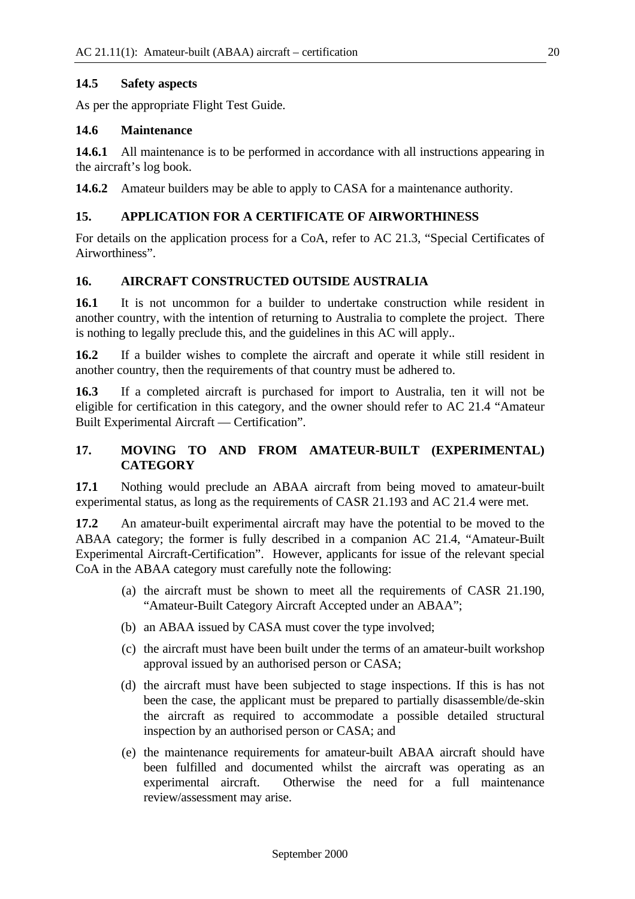#### **14.5 Safety aspects**

As per the appropriate Flight Test Guide.

#### **14.6 Maintenance**

**14.6.1** All maintenance is to be performed in accordance with all instructions appearing in the aircraft's log book.

**14.6.2** Amateur builders may be able to apply to CASA for a maintenance authority.

#### **15. APPLICATION FOR A CERTIFICATE OF AIRWORTHINESS**

For details on the application process for a CoA, refer to AC 21.3, "Special Certificates of Airworthiness".

#### **16. AIRCRAFT CONSTRUCTED OUTSIDE AUSTRALIA**

**16.1** It is not uncommon for a builder to undertake construction while resident in another country, with the intention of returning to Australia to complete the project. There is nothing to legally preclude this, and the guidelines in this AC will apply..

**16.2** If a builder wishes to complete the aircraft and operate it while still resident in another country, then the requirements of that country must be adhered to.

**16.3** If a completed aircraft is purchased for import to Australia, ten it will not be eligible for certification in this category, and the owner should refer to AC 21.4 "Amateur Built Experimental Aircraft — Certification".

#### **17. MOVING TO AND FROM AMATEUR-BUILT (EXPERIMENTAL) CATEGORY**

**17.1** Nothing would preclude an ABAA aircraft from being moved to amateur-built experimental status, as long as the requirements of CASR 21.193 and AC 21.4 were met.

**17.2** An amateur-built experimental aircraft may have the potential to be moved to the ABAA category; the former is fully described in a companion AC 21.4, "Amateur-Built Experimental Aircraft-Certification". However, applicants for issue of the relevant special CoA in the ABAA category must carefully note the following:

- (a) the aircraft must be shown to meet all the requirements of CASR 21.190, "Amateur-Built Category Aircraft Accepted under an ABAA";
- (b) an ABAA issued by CASA must cover the type involved;
- (c) the aircraft must have been built under the terms of an amateur-built workshop approval issued by an authorised person or CASA;
- (d) the aircraft must have been subjected to stage inspections. If this is has not been the case, the applicant must be prepared to partially disassemble/de-skin the aircraft as required to accommodate a possible detailed structural inspection by an authorised person or CASA; and
- (e) the maintenance requirements for amateur-built ABAA aircraft should have been fulfilled and documented whilst the aircraft was operating as an experimental aircraft. Otherwise the need for a full maintenance review/assessment may arise.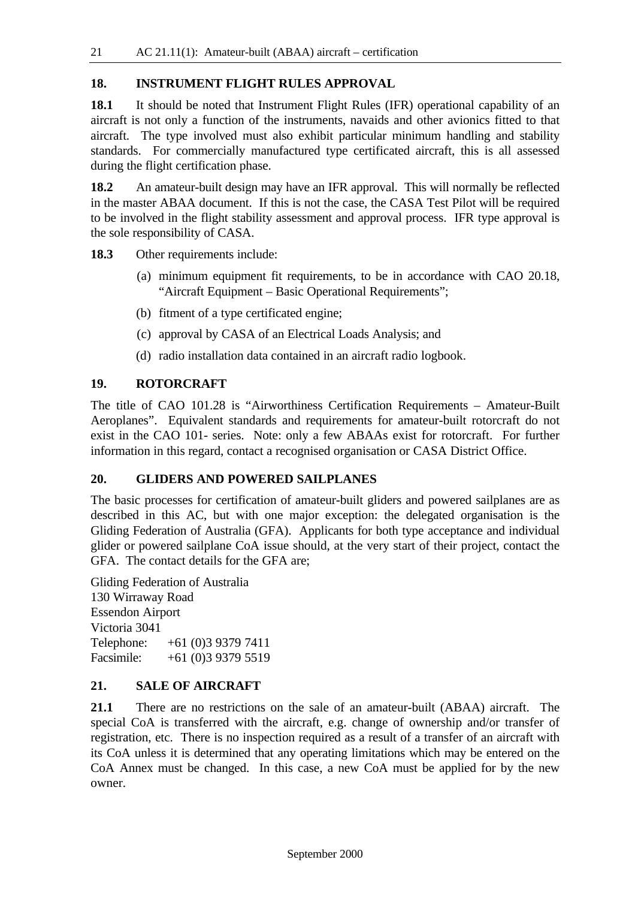#### **18. INSTRUMENT FLIGHT RULES APPROVAL**

**18.1** It should be noted that Instrument Flight Rules (IFR) operational capability of an aircraft is not only a function of the instruments, navaids and other avionics fitted to that aircraft. The type involved must also exhibit particular minimum handling and stability standards. For commercially manufactured type certificated aircraft, this is all assessed during the flight certification phase.

**18.2** An amateur-built design may have an IFR approval. This will normally be reflected in the master ABAA document. If this is not the case, the CASA Test Pilot will be required to be involved in the flight stability assessment and approval process. IFR type approval is the sole responsibility of CASA.

**18.3** Other requirements include:

- (a) minimum equipment fit requirements, to be in accordance with CAO 20.18, "Aircraft Equipment – Basic Operational Requirements";
- (b) fitment of a type certificated engine;
- (c) approval by CASA of an Electrical Loads Analysis; and
- (d) radio installation data contained in an aircraft radio logbook.

#### **19. ROTORCRAFT**

The title of CAO 101.28 is "Airworthiness Certification Requirements – Amateur-Built Aeroplanes". Equivalent standards and requirements for amateur-built rotorcraft do not exist in the CAO 101- series. Note: only a few ABAAs exist for rotorcraft. For further information in this regard, contact a recognised organisation or CASA District Office.

#### **20. GLIDERS AND POWERED SAILPLANES**

The basic processes for certification of amateur-built gliders and powered sailplanes are as described in this AC, but with one major exception: the delegated organisation is the Gliding Federation of Australia (GFA). Applicants for both type acceptance and individual glider or powered sailplane CoA issue should, at the very start of their project, contact the GFA. The contact details for the GFA are;

Gliding Federation of Australia 130 Wirraway Road Essendon Airport Victoria 3041 Telephone: +61 (0)3 9379 7411 Facsimile: +61 (0)3 9379 5519

#### **21. SALE OF AIRCRAFT**

**21.1** There are no restrictions on the sale of an amateur-built (ABAA) aircraft. The special CoA is transferred with the aircraft, e.g. change of ownership and/or transfer of registration, etc. There is no inspection required as a result of a transfer of an aircraft with its CoA unless it is determined that any operating limitations which may be entered on the CoA Annex must be changed. In this case, a new CoA must be applied for by the new owner.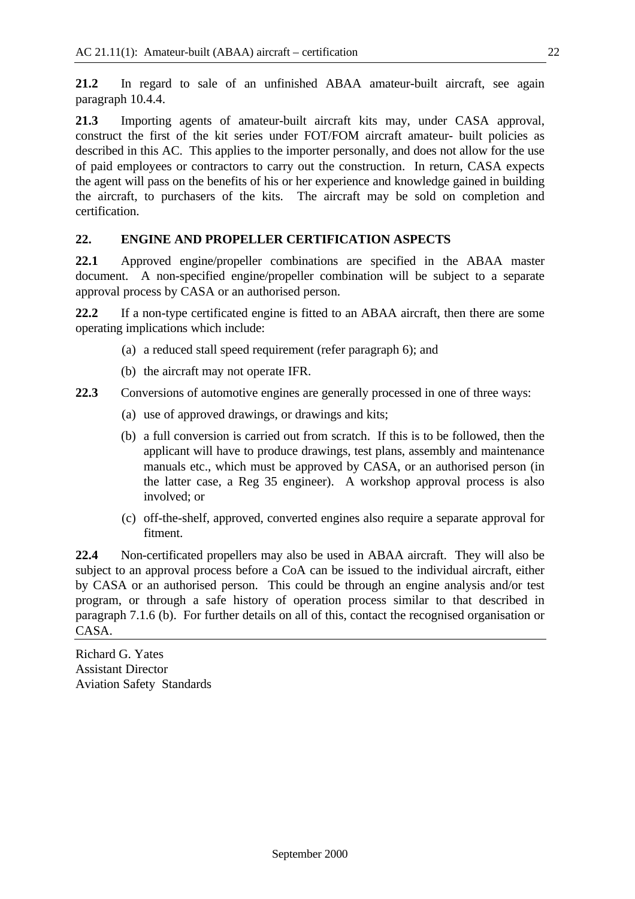**21.2** In regard to sale of an unfinished ABAA amateur-built aircraft, see again paragraph 10.4.4.

**21.3** Importing agents of amateur-built aircraft kits may, under CASA approval, construct the first of the kit series under FOT/FOM aircraft amateur- built policies as described in this AC. This applies to the importer personally, and does not allow for the use of paid employees or contractors to carry out the construction. In return, CASA expects the agent will pass on the benefits of his or her experience and knowledge gained in building the aircraft, to purchasers of the kits. The aircraft may be sold on completion and certification.

#### **22. ENGINE AND PROPELLER CERTIFICATION ASPECTS**

**22.1** Approved engine/propeller combinations are specified in the ABAA master document. A non-specified engine/propeller combination will be subject to a separate approval process by CASA or an authorised person.

**22.2** If a non-type certificated engine is fitted to an ABAA aircraft, then there are some operating implications which include:

- (a) a reduced stall speed requirement (refer paragraph 6); and
- (b) the aircraft may not operate IFR.

**22.3** Conversions of automotive engines are generally processed in one of three ways:

- (a) use of approved drawings, or drawings and kits;
- (b) a full conversion is carried out from scratch. If this is to be followed, then the applicant will have to produce drawings, test plans, assembly and maintenance manuals etc., which must be approved by CASA, or an authorised person (in the latter case, a Reg 35 engineer). A workshop approval process is also involved; or
- (c) off-the-shelf, approved, converted engines also require a separate approval for fitment.

**22.4** Non-certificated propellers may also be used in ABAA aircraft. They will also be subject to an approval process before a CoA can be issued to the individual aircraft, either by CASA or an authorised person. This could be through an engine analysis and/or test program, or through a safe history of operation process similar to that described in paragraph 7.1.6 (b). For further details on all of this, contact the recognised organisation or CASA.

Richard G. Yates Assistant Director Aviation Safety Standards